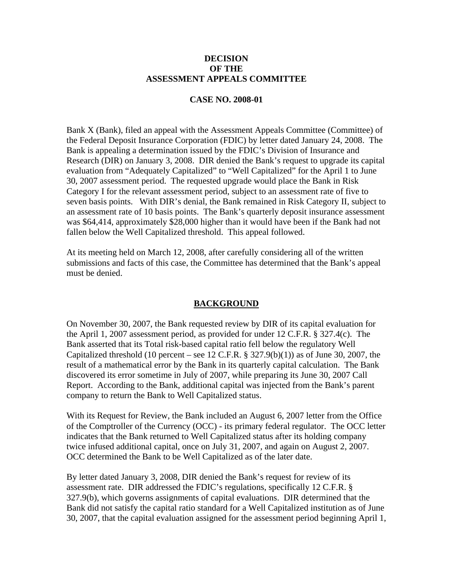#### **DECISION OF THE ASSESSMENT APPEALS COMMITTEE**

#### **CASE NO. 2008-01**

Bank X (Bank), filed an appeal with the Assessment Appeals Committee (Committee) of the Federal Deposit Insurance Corporation (FDIC) by letter dated January 24, 2008. The Bank is appealing a determination issued by the FDIC's Division of Insurance and Research (DIR) on January 3, 2008. DIR denied the Bank's request to upgrade its capital evaluation from "Adequately Capitalized" to "Well Capitalized" for the April 1 to June 30, 2007 assessment period. The requested upgrade would place the Bank in Risk Category I for the relevant assessment period, subject to an assessment rate of five to seven basis points. With DIR's denial, the Bank remained in Risk Category II, subject to an assessment rate of 10 basis points. The Bank's quarterly deposit insurance assessment was \$64,414, approximately \$28,000 higher than it would have been if the Bank had not fallen below the Well Capitalized threshold. This appeal followed.

At its meeting held on March 12, 2008, after carefully considering all of the written submissions and facts of this case, the Committee has determined that the Bank's appeal must be denied.

## **BACKGROUND**

On November 30, 2007, the Bank requested review by DIR of its capital evaluation for the April 1, 2007 assessment period, as provided for under 12 C.F.R. § 327.4(c). The Bank asserted that its Total risk-based capital ratio fell below the regulatory Well Capitalized threshold (10 percent – see 12 C.F.R.  $\S$  327.9(b)(1)) as of June 30, 2007, the result of a mathematical error by the Bank in its quarterly capital calculation. The Bank discovered its error sometime in July of 2007, while preparing its June 30, 2007 Call Report. According to the Bank, additional capital was injected from the Bank's parent company to return the Bank to Well Capitalized status.

With its Request for Review, the Bank included an August 6, 2007 letter from the Office of the Comptroller of the Currency (OCC) - its primary federal regulator. The OCC letter indicates that the Bank returned to Well Capitalized status after its holding company twice infused additional capital, once on July 31, 2007, and again on August 2, 2007. OCC determined the Bank to be Well Capitalized as of the later date.

By letter dated January 3, 2008, DIR denied the Bank's request for review of its assessment rate. DIR addressed the FDIC's regulations, specifically 12 C.F.R. § 327.9(b), which governs assignments of capital evaluations. DIR determined that the Bank did not satisfy the capital ratio standard for a Well Capitalized institution as of June 30, 2007, that the capital evaluation assigned for the assessment period beginning April 1,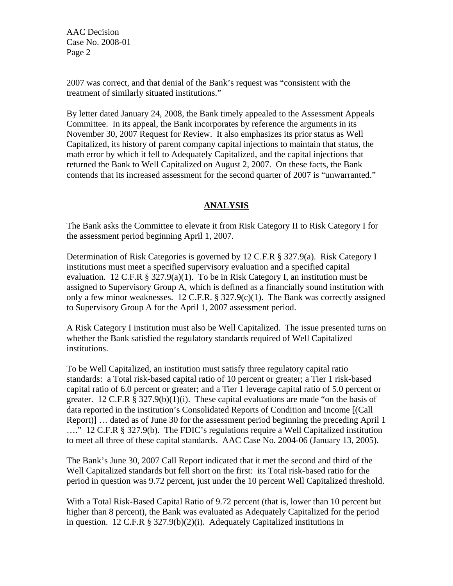AAC Decision Case No. 2008-01 Page 2

2007 was correct, and that denial of the Bank's request was "consistent with the treatment of similarly situated institutions."

By letter dated January 24, 2008, the Bank timely appealed to the Assessment Appeals Committee. In its appeal, the Bank incorporates by reference the arguments in its November 30, 2007 Request for Review. It also emphasizes its prior status as Well Capitalized, its history of parent company capital injections to maintain that status, the math error by which it fell to Adequately Capitalized, and the capital injections that returned the Bank to Well Capitalized on August 2, 2007. On these facts, the Bank contends that its increased assessment for the second quarter of 2007 is "unwarranted."

# **ANALYSIS**

The Bank asks the Committee to elevate it from Risk Category II to Risk Category I for the assessment period beginning April 1, 2007.

Determination of Risk Categories is governed by 12 C.F.R § 327.9(a). Risk Category I institutions must meet a specified supervisory evaluation and a specified capital evaluation. 12 C.F.R § 327.9(a)(1). To be in Risk Category I, an institution must be assigned to Supervisory Group A, which is defined as a financially sound institution with only a few minor weaknesses. 12 C.F.R.  $\S 327.9(c)(1)$ . The Bank was correctly assigned to Supervisory Group A for the April 1, 2007 assessment period.

A Risk Category I institution must also be Well Capitalized. The issue presented turns on whether the Bank satisfied the regulatory standards required of Well Capitalized institutions.

To be Well Capitalized, an institution must satisfy three regulatory capital ratio standards: a Total risk-based capital ratio of 10 percent or greater; a Tier 1 risk-based capital ratio of 6.0 percent or greater; and a Tier 1 leverage capital ratio of 5.0 percent or greater. 12 C.F.R § 327.9(b)(1)(i). These capital evaluations are made "on the basis of data reported in the institution's Consolidated Reports of Condition and Income [(Call Report)] … dated as of June 30 for the assessment period beginning the preceding April 1 …." 12 C.F.R § 327.9(b). The FDIC's regulations require a Well Capitalized institution to meet all three of these capital standards. AAC Case No. 2004-06 (January 13, 2005).

The Bank's June 30, 2007 Call Report indicated that it met the second and third of the Well Capitalized standards but fell short on the first: its Total risk-based ratio for the period in question was 9.72 percent, just under the 10 percent Well Capitalized threshold.

With a Total Risk-Based Capital Ratio of 9.72 percent (that is, lower than 10 percent but higher than 8 percent), the Bank was evaluated as Adequately Capitalized for the period in question. 12 C.F.R § 327.9(b)(2)(i). Adequately Capitalized institutions in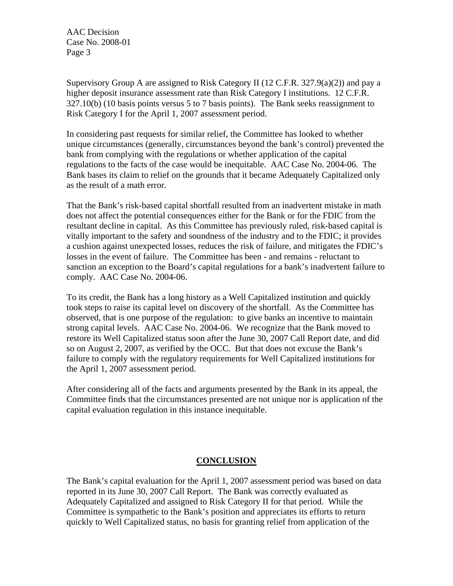AAC Decision Case No. 2008-01 Page 3

Supervisory Group A are assigned to Risk Category II (12 C.F.R. 327.9(a)(2)) and pay a higher deposit insurance assessment rate than Risk Category I institutions. 12 C.F.R. 327.10(b) (10 basis points versus 5 to 7 basis points). The Bank seeks reassignment to Risk Category I for the April 1, 2007 assessment period.

In considering past requests for similar relief, the Committee has looked to whether unique circumstances (generally, circumstances beyond the bank's control) prevented the bank from complying with the regulations or whether application of the capital regulations to the facts of the case would be inequitable. AAC Case No. 2004-06. The Bank bases its claim to relief on the grounds that it became Adequately Capitalized only as the result of a math error.

That the Bank's risk-based capital shortfall resulted from an inadvertent mistake in math does not affect the potential consequences either for the Bank or for the FDIC from the resultant decline in capital. As this Committee has previously ruled, risk-based capital is vitally important to the safety and soundness of the industry and to the FDIC; it provides a cushion against unexpected losses, reduces the risk of failure, and mitigates the FDIC's losses in the event of failure. The Committee has been - and remains - reluctant to sanction an exception to the Board's capital regulations for a bank's inadvertent failure to comply. AAC Case No. 2004-06.

To its credit, the Bank has a long history as a Well Capitalized institution and quickly took steps to raise its capital level on discovery of the shortfall. As the Committee has observed, that is one purpose of the regulation: to give banks an incentive to maintain strong capital levels. AAC Case No. 2004-06. We recognize that the Bank moved to restore its Well Capitalized status soon after the June 30, 2007 Call Report date, and did so on August 2, 2007, as verified by the OCC. But that does not excuse the Bank's failure to comply with the regulatory requirements for Well Capitalized institutions for the April 1, 2007 assessment period.

After considering all of the facts and arguments presented by the Bank in its appeal, the Committee finds that the circumstances presented are not unique nor is application of the capital evaluation regulation in this instance inequitable.

## **CONCLUSION**

The Bank's capital evaluation for the April 1, 2007 assessment period was based on data reported in its June 30, 2007 Call Report. The Bank was correctly evaluated as Adequately Capitalized and assigned to Risk Category II for that period. While the Committee is sympathetic to the Bank's position and appreciates its efforts to return quickly to Well Capitalized status, no basis for granting relief from application of the